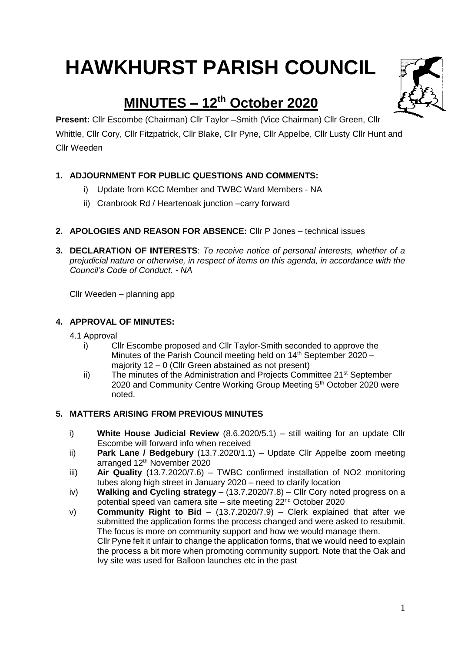# **HAWKHURST PARISH COUNCIL**

# **MINUTES – 12 th October 2020**

**Present:** Cllr Escombe (Chairman) Cllr Taylor –Smith (Vice Chairman) Cllr Green, Cllr Whittle, Cllr Cory, Cllr Fitzpatrick, Cllr Blake, Cllr Pyne, Cllr Appelbe, Cllr Lusty Cllr Hunt and Cllr Weeden

# **1. ADJOURNMENT FOR PUBLIC QUESTIONS AND COMMENTS:**

- i) Update from KCC Member and TWBC Ward Members NA
- ii) Cranbrook Rd / Heartenoak junction –carry forward
- **2. APOLOGIES AND REASON FOR ABSENCE:** Cllr P Jones technical issues
- **3. DECLARATION OF INTERESTS**: *To receive notice of personal interests, whether of a prejudicial nature or otherwise, in respect of items on this agenda, in accordance with the Council's Code of Conduct. - NA*

Cllr Weeden – planning app

# **4. APPROVAL OF MINUTES:**

4.1 Approval

- i) Cllr Escombe proposed and Cllr Taylor-Smith seconded to approve the Minutes of the Parish Council meeting held on 14<sup>th</sup> September 2020 majority 12 – 0 (Cllr Green abstained as not present)
- ii) The minutes of the Administration and Projects Committee  $21^{st}$  September 2020 and Community Centre Working Group Meeting 5<sup>th</sup> October 2020 were noted.

# **5. MATTERS ARISING FROM PREVIOUS MINUTES**

- i) **White House Judicial Review** (8.6.2020/5.1) still waiting for an update Cllr Escombe will forward info when received
- ii) **Park Lane / Bedgebury** (13.7.2020/1.1) Update Cllr Appelbe zoom meeting arranged 12th November 2020
- iii) **Air Quality** (13.7.2020/7.6) TWBC confirmed installation of NO2 monitoring tubes along high street in January 2020 – need to clarify location
- iv) **Walking and Cycling strategy**  (13.7.2020/7.8) Cllr Cory noted progress on a potential speed van camera site – site meeting 22nd October 2020
- v) **Community Right to Bid** (13.7.2020/7.9) Clerk explained that after we submitted the application forms the process changed and were asked to resubmit. The focus is more on community support and how we would manage them. Cllr Pyne felt it unfair to change the application forms, that we would need to explain the process a bit more when promoting community support. Note that the Oak and Ivy site was used for Balloon launches etc in the past

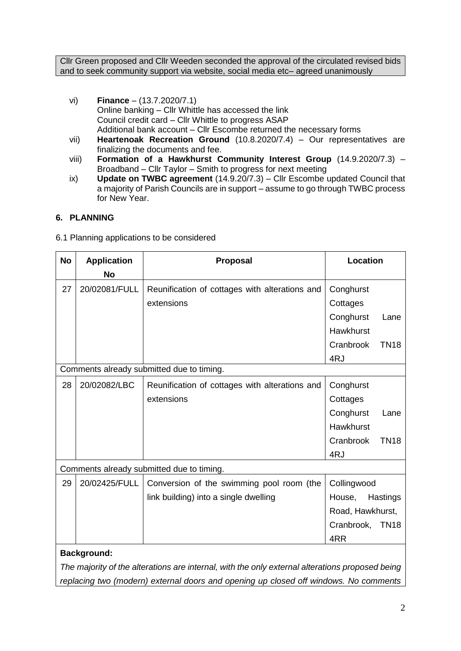Cllr Green proposed and Cllr Weeden seconded the approval of the circulated revised bids and to seek community support via website, social media etc– agreed unanimously

- vi) **Finance** (13.7.2020/7.1) Online banking – Cllr Whittle has accessed the link Council credit card – Cllr Whittle to progress ASAP Additional bank account – Cllr Escombe returned the necessary forms
- vii) **Heartenoak Recreation Ground** (10.8.2020/7.4) Our representatives are finalizing the documents and fee.
- viii) **Formation of a Hawkhurst Community Interest Group** (14.9.2020/7.3) Broadband – Cllr Taylor – Smith to progress for next meeting
- ix) **Update on TWBC agreement** (14.9.20/7.3) Cllr Escombe updated Council that a majority of Parish Councils are in support – assume to go through TWBC process for New Year.

# **6. PLANNING**

6.1 Planning applications to be considered

| <b>No</b>                                 | <b>Application</b> | <b>Location</b><br>Proposal                    |                           |  |
|-------------------------------------------|--------------------|------------------------------------------------|---------------------------|--|
|                                           | <b>No</b>          |                                                |                           |  |
| 27                                        | 20/02081/FULL      | Reunification of cottages with alterations and | Conghurst                 |  |
|                                           |                    | extensions                                     | Cottages                  |  |
|                                           |                    |                                                | Conghurst<br>Lane         |  |
|                                           |                    |                                                | <b>Hawkhurst</b>          |  |
|                                           |                    |                                                | Cranbrook<br><b>TN18</b>  |  |
|                                           |                    |                                                | 4RJ                       |  |
|                                           |                    | Comments already submitted due to timing.      |                           |  |
| 28                                        | 20/02082/LBC       | Reunification of cottages with alterations and | Conghurst                 |  |
|                                           |                    | extensions                                     | Cottages                  |  |
|                                           |                    |                                                | Conghurst<br>Lane         |  |
|                                           |                    |                                                | Hawkhurst                 |  |
|                                           |                    |                                                | Cranbrook<br><b>TN18</b>  |  |
|                                           |                    |                                                | 4RJ                       |  |
| Comments already submitted due to timing. |                    |                                                |                           |  |
| 29                                        | 20/02425/FULL      | Conversion of the swimming pool room (the      | Collingwood               |  |
|                                           |                    | link building) into a single dwelling          | House,<br>Hastings        |  |
|                                           |                    |                                                | Road, Hawkhurst,          |  |
|                                           |                    |                                                | Cranbrook,<br><b>TN18</b> |  |
|                                           |                    |                                                | 4RR                       |  |
|                                           | <b>Background:</b> |                                                |                           |  |

*The majority of the alterations are internal, with the only external alterations proposed being replacing two (modern) external doors and opening up closed off windows. No comments*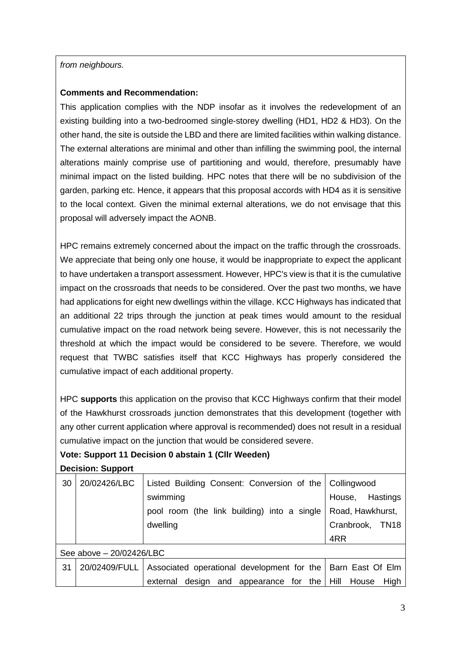#### *from neighbours.*

#### **Comments and Recommendation:**

This application complies with the NDP insofar as it involves the redevelopment of an existing building into a two-bedroomed single-storey dwelling (HD1, HD2 & HD3). On the other hand, the site is outside the LBD and there are limited facilities within walking distance. The external alterations are minimal and other than infilling the swimming pool, the internal alterations mainly comprise use of partitioning and would, therefore, presumably have minimal impact on the listed building. HPC notes that there will be no subdivision of the garden, parking etc. Hence, it appears that this proposal accords with HD4 as it is sensitive to the local context. Given the minimal external alterations, we do not envisage that this proposal will adversely impact the AONB.

HPC remains extremely concerned about the impact on the traffic through the crossroads. We appreciate that being only one house, it would be inappropriate to expect the applicant to have undertaken a transport assessment. However, HPC's view is that it is the cumulative impact on the crossroads that needs to be considered. Over the past two months, we have had applications for eight new dwellings within the village. KCC Highways has indicated that an additional 22 trips through the junction at peak times would amount to the residual cumulative impact on the road network being severe. However, this is not necessarily the threshold at which the impact would be considered to be severe. Therefore, we would request that TWBC satisfies itself that KCC Highways has properly considered the cumulative impact of each additional property.

HPC **supports** this application on the proviso that KCC Highways confirm that their model of the Hawkhurst crossroads junction demonstrates that this development (together with any other current application where approval is recommended) does not result in a residual cumulative impact on the junction that would be considered severe.

# **Vote: Support 11 Decision 0 abstain 1 (Cllr Weeden)**

**Decision: Support**

| 30 | 20/02426/LBC             | Listed Building Consent: Conversion of the Collingwood                        |                           |  |  |
|----|--------------------------|-------------------------------------------------------------------------------|---------------------------|--|--|
|    |                          | swimming                                                                      | Hastings<br>House,        |  |  |
|    |                          | pool room (the link building) into a single                                   | Road, Hawkhurst,          |  |  |
|    |                          | dwelling                                                                      | Cranbrook,<br><b>TN18</b> |  |  |
|    |                          |                                                                               | 4RR                       |  |  |
|    | See above - 20/02426/LBC |                                                                               |                           |  |  |
| 31 |                          | 20/02409/FULL   Associated operational development for the   Barn East Of Elm |                           |  |  |
|    |                          | design and appearance for the $\vert$ Hill<br>external                        | House<br>High             |  |  |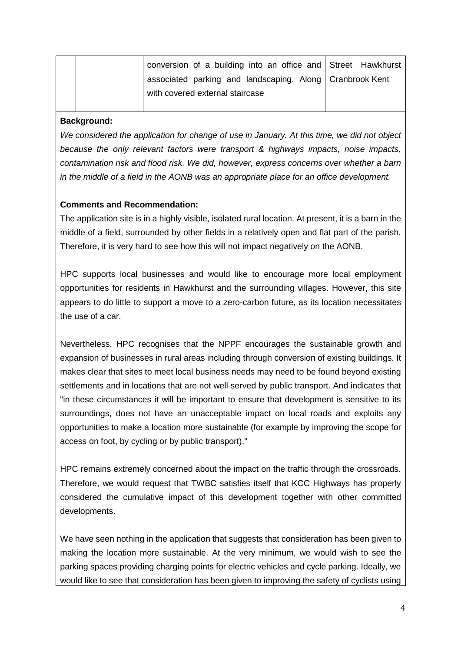| conversion of a building into an office and Street Hawkhurst |  |
|--------------------------------------------------------------|--|
| associated parking and landscaping. Along   Cranbrook Kent   |  |
| with covered external staircase                              |  |

#### **Background:**

*We considered the application for change of use in January. At this time, we did not object because the only relevant factors were transport & highways impacts, noise impacts, contamination risk and flood risk. We did, however, express concerns over whether a barn in the middle of a field in the AONB was an appropriate place for an office development.*

# **Comments and Recommendation:**

The application site is in a highly visible, isolated rural location. At present, it is a barn in the middle of a field, surrounded by other fields in a relatively open and flat part of the parish. Therefore, it is very hard to see how this will not impact negatively on the AONB.

HPC supports local businesses and would like to encourage more local employment opportunities for residents in Hawkhurst and the surrounding villages. However, this site appears to do little to support a move to a zero-carbon future, as its location necessitates the use of a car.

Nevertheless, HPC recognises that the NPPF encourages the sustainable growth and expansion of businesses in rural areas including through conversion of existing buildings. It makes clear that sites to meet local business needs may need to be found beyond existing settlements and in locations that are not well served by public transport. And indicates that "in these circumstances it will be important to ensure that development is sensitive to its surroundings, does not have an unacceptable impact on local roads and exploits any opportunities to make a location more sustainable (for example by improving the scope for access on foot, by cycling or by public transport)."

HPC remains extremely concerned about the impact on the traffic through the crossroads. Therefore, we would request that TWBC satisfies itself that KCC Highways has properly considered the cumulative impact of this development together with other committed developments.

We have seen nothing in the application that suggests that consideration has been given to making the location more sustainable. At the very minimum, we would wish to see the parking spaces providing charging points for electric vehicles and cycle parking. Ideally, we would like to see that consideration has been given to improving the safety of cyclists using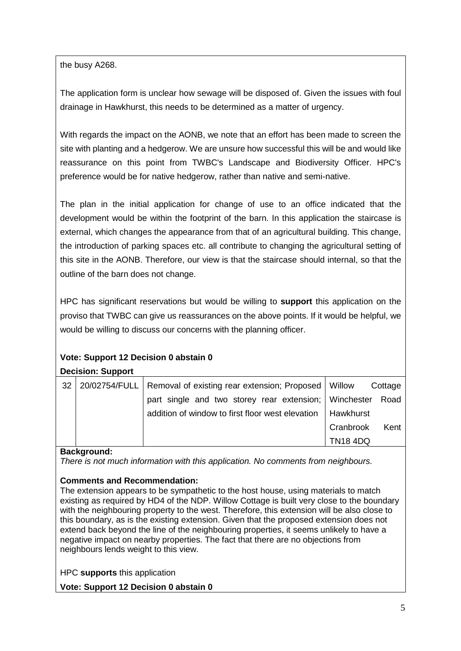the busy A268.

The application form is unclear how sewage will be disposed of. Given the issues with foul drainage in Hawkhurst, this needs to be determined as a matter of urgency.

With regards the impact on the AONB, we note that an effort has been made to screen the site with planting and a hedgerow. We are unsure how successful this will be and would like reassurance on this point from TWBC's Landscape and Biodiversity Officer. HPC's preference would be for native hedgerow, rather than native and semi-native.

The plan in the initial application for change of use to an office indicated that the development would be within the footprint of the barn. In this application the staircase is external, which changes the appearance from that of an agricultural building. This change, the introduction of parking spaces etc. all contribute to changing the agricultural setting of this site in the AONB. Therefore, our view is that the staircase should internal, so that the outline of the barn does not change.

HPC has significant reservations but would be willing to **support** this application on the proviso that TWBC can give us reassurances on the above points. If it would be helpful, we would be willing to discuss our concerns with the planning officer.

# **Vote: Support 12 Decision 0 abstain 0**

# **Decision: Support**

|    |                                                                       | <b>TN18 4DQ</b> |         |
|----|-----------------------------------------------------------------------|-----------------|---------|
|    |                                                                       | Cranbrook       | Kent    |
|    | addition of window to first floor west elevation                      | Hawkhurst       |         |
|    | part single and two storey rear extension; Winchester                 |                 | Road    |
| 32 | 20/02754/FULL   Removal of existing rear extension; Proposed   Willow |                 | Cottage |
|    |                                                                       |                 |         |

# **Background:**

*There is not much information with this application. No comments from neighbours.*

# **Comments and Recommendation:**

The extension appears to be sympathetic to the host house, using materials to match existing as required by HD4 of the NDP. Willow Cottage is built very close to the boundary with the neighbouring property to the west. Therefore, this extension will be also close to this boundary, as is the existing extension. Given that the proposed extension does not extend back beyond the line of the neighbouring properties, it seems unlikely to have a negative impact on nearby properties. The fact that there are no objections from neighbours lends weight to this view.

HPC **supports** this application

**Vote: Support 12 Decision 0 abstain 0**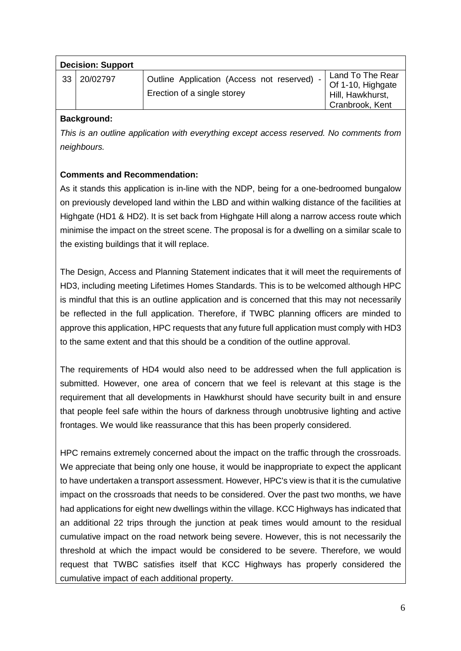|    | <b>Decision: Support</b> |                                                                            |                                                                              |  |  |
|----|--------------------------|----------------------------------------------------------------------------|------------------------------------------------------------------------------|--|--|
| 33 | 20/02797                 | Outline Application (Access not reserved) -<br>Erection of a single storey | Land To The Rear<br>Of 1-10, Highgate<br>Hill, Hawkhurst,<br>Cranbrook, Kent |  |  |

# **Background:**

*This is an outline application with everything except access reserved. No comments from neighbours.*

# **Comments and Recommendation:**

As it stands this application is in-line with the NDP, being for a one-bedroomed bungalow on previously developed land within the LBD and within walking distance of the facilities at Highgate (HD1 & HD2). It is set back from Highgate Hill along a narrow access route which minimise the impact on the street scene. The proposal is for a dwelling on a similar scale to the existing buildings that it will replace.

The Design, Access and Planning Statement indicates that it will meet the requirements of HD3, including meeting Lifetimes Homes Standards. This is to be welcomed although HPC is mindful that this is an outline application and is concerned that this may not necessarily be reflected in the full application. Therefore, if TWBC planning officers are minded to approve this application, HPC requests that any future full application must comply with HD3 to the same extent and that this should be a condition of the outline approval.

The requirements of HD4 would also need to be addressed when the full application is submitted. However, one area of concern that we feel is relevant at this stage is the requirement that all developments in Hawkhurst should have security built in and ensure that people feel safe within the hours of darkness through unobtrusive lighting and active frontages. We would like reassurance that this has been properly considered.

HPC remains extremely concerned about the impact on the traffic through the crossroads. We appreciate that being only one house, it would be inappropriate to expect the applicant to have undertaken a transport assessment. However, HPC's view is that it is the cumulative impact on the crossroads that needs to be considered. Over the past two months, we have had applications for eight new dwellings within the village. KCC Highways has indicated that an additional 22 trips through the junction at peak times would amount to the residual cumulative impact on the road network being severe. However, this is not necessarily the threshold at which the impact would be considered to be severe. Therefore, we would request that TWBC satisfies itself that KCC Highways has properly considered the cumulative impact of each additional property.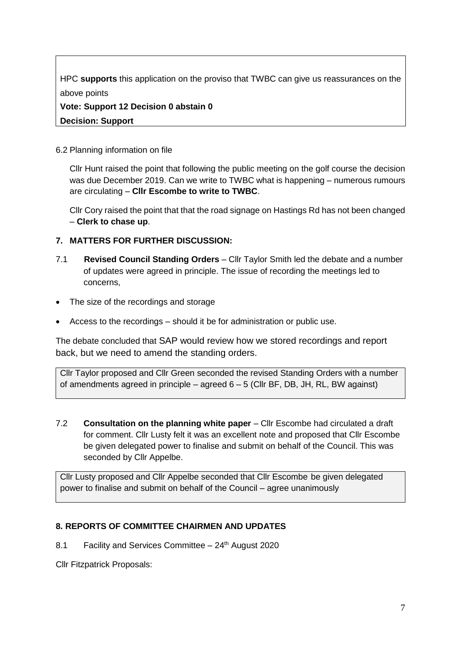HPC **supports** this application on the proviso that TWBC can give us reassurances on the above points

**Vote: Support 12 Decision 0 abstain 0 Decision: Support**

#### 6.2 Planning information on file

Cllr Hunt raised the point that following the public meeting on the golf course the decision was due December 2019. Can we write to TWBC what is happening – numerous rumours are circulating – **Cllr Escombe to write to TWBC**.

Cllr Cory raised the point that that the road signage on Hastings Rd has not been changed – **Clerk to chase up**.

# **7. MATTERS FOR FURTHER DISCUSSION:**

- 7.1 **Revised Council Standing Orders** Cllr Taylor Smith led the debate and a number of updates were agreed in principle. The issue of recording the meetings led to concerns,
- The size of the recordings and storage
- Access to the recordings should it be for administration or public use.

The debate concluded that SAP would review how we stored recordings and report back, but we need to amend the standing orders.

Cllr Taylor proposed and Cllr Green seconded the revised Standing Orders with a number of amendments agreed in principle – agreed 6 – 5 (Cllr BF, DB, JH, RL, BW against)

7.2 **Consultation on the planning white paper** – Cllr Escombe had circulated a draft for comment. Cllr Lusty felt it was an excellent note and proposed that Cllr Escombe be given delegated power to finalise and submit on behalf of the Council. This was seconded by Cllr Appelbe.

Cllr Lusty proposed and Cllr Appelbe seconded that Cllr Escombe be given delegated power to finalise and submit on behalf of the Council – agree unanimously

# **8. REPORTS OF COMMITTEE CHAIRMEN AND UPDATES**

8.1 Facility and Services Committee  $-24<sup>th</sup>$  August 2020

Cllr Fitzpatrick Proposals: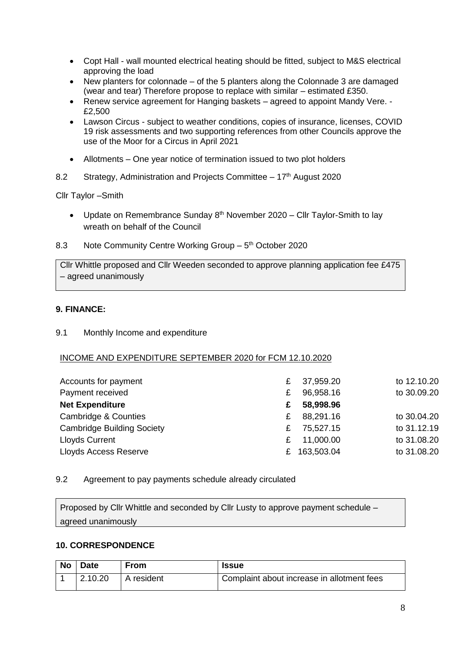- Copt Hall wall mounted electrical heating should be fitted, subject to M&S electrical approving the load
- New planters for colonnade of the 5 planters along the Colonnade 3 are damaged (wear and tear) Therefore propose to replace with similar – estimated £350.
- Renew service agreement for Hanging baskets agreed to appoint Mandy Vere. £2,500
- Lawson Circus subject to weather conditions, copies of insurance, licenses, COVID 19 risk assessments and two supporting references from other Councils approve the use of the Moor for a Circus in April 2021
- Allotments One year notice of termination issued to two plot holders
- 8.2 Strategy, Administration and Projects Committee 17<sup>th</sup> August 2020

Cllr Taylor –Smith

- Update on Remembrance Sunday  $8<sup>th</sup>$  November 2020 Cllr Taylor-Smith to lay wreath on behalf of the Council
- 8.3 Note Community Centre Working Group 5<sup>th</sup> October 2020

Cllr Whittle proposed and Cllr Weeden seconded to approve planning application fee £475 – agreed unanimously

#### **9. FINANCE:**

9.1 Monthly Income and expenditure

#### INCOME AND EXPENDITURE SEPTEMBER 2020 for FCM 12.10.2020

| Accounts for payment              | £ | 37,959.20    | to 12.10.20 |
|-----------------------------------|---|--------------|-------------|
| Payment received                  | £ | 96,958.16    | to 30.09.20 |
| <b>Net Expenditure</b>            | £ | 58,998.96    |             |
| Cambridge & Counties              | £ | 88,291.16    | to 30.04.20 |
| <b>Cambridge Building Society</b> | £ | 75,527.15    | to 31.12.19 |
| <b>Lloyds Current</b>             | £ | 11,000.00    | to 31.08.20 |
| <b>Lloyds Access Reserve</b>      |   | £ 163,503.04 | to 31.08.20 |

#### 9.2 Agreement to pay payments schedule already circulated

Proposed by Cllr Whittle and seconded by Cllr Lusty to approve payment schedule – agreed unanimously

#### **10. CORRESPONDENCE**

| No   Date | <b>From</b> | <b>Issue</b>                               |
|-----------|-------------|--------------------------------------------|
| 12.10.20  | A resident  | Complaint about increase in allotment fees |